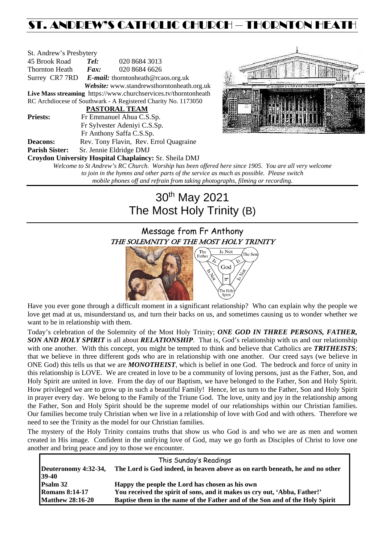# ST. ANDREW'S CATHOLIC CHURCH – THORNTON HEATH

| St. Andrew's Presbytery                                         |                                                   |                                                        |  |  |  |
|-----------------------------------------------------------------|---------------------------------------------------|--------------------------------------------------------|--|--|--|
| 45 Brook Road                                                   | Tel:                                              | 020 8684 3013                                          |  |  |  |
| Thornton Heath                                                  | Fax:                                              | 020 8684 6626                                          |  |  |  |
|                                                                 | Surrey CR7 7RD E-mail: thorntonheath@rcaos.org.uk |                                                        |  |  |  |
| Website: www.standrewsthorntonheath.org.uk                      |                                                   |                                                        |  |  |  |
| Live Mass streaming https://www.churchservices.tv/thorntonheath |                                                   |                                                        |  |  |  |
| RC Archdiocese of Southwark - A Registered Charity No. 1173050  |                                                   |                                                        |  |  |  |
| <b>PASTORAL TEAM</b>                                            |                                                   |                                                        |  |  |  |
| <b>Priests:</b>                                                 | Fr Emmanuel Ahua C.S.Sp.                          |                                                        |  |  |  |
| Fr Sylvester Adeniyi C.S.Sp.                                    |                                                   |                                                        |  |  |  |
|                                                                 | Fr Anthony Saffa C.S.Sp.                          |                                                        |  |  |  |
| <b>Deacons:</b>                                                 | Rev. Tony Flavin, Rev. Errol Quagraine            |                                                        |  |  |  |
| <b>Parish Sister:</b>                                           | Sr. Jennie Eldridge DMJ                           |                                                        |  |  |  |
|                                                                 |                                                   | Croydon University Hospital Chaplaincy: Sr. Sheila DMJ |  |  |  |
| Welcome to St Andrew's RC Church. Worship has been offered      |                                                   |                                                        |  |  |  |



*Welcome to St Andrew's RC Church. Worship has been offered here since 1905. You are all very welcome to join in the hymns and other parts of the service as much as possible. Please switch mobile phones off and refrain from taking photographs, filming or recording.*

# 30th May 2021 The Most Holy Trinity (B)

# Message from Fr Anthony THE SOLEMNITY OF THE MOST HOLY TRINITY



Have you ever gone through a difficult moment in a significant relationship? Who can explain why the people we love get mad at us, misunderstand us, and turn their backs on us, and sometimes causing us to wonder whether we want to be in relationship with them.

Today's celebration of the Solemnity of the Most Holy Trinity; *ONE GOD IN THREE PERSONS, FATHER, SON AND HOLY SPIRIT* is all about *RELATIONSHIP*. That is, God's relationship with us and our relationship with one another. With this concept, you might be tempted to think and believe that Catholics are **TRITHEISTS**; that we believe in three different gods who are in relationship with one another. Our creed says (we believe in ONE God) this tells us that we are *MONOTHEIST*, which is belief in one God. The bedrock and force of unity in this relationship is LOVE. We are created in love to be a community of loving persons, just as the Father, Son, and Holy Spirit are united in love. From the day of our Baptism, we have belonged to the Father, Son and Holy Spirit. How privileged we are to grow up in such a beautiful Family! Hence, let us turn to the Father, Son and Holy Spirit in prayer every day. We belong to the Family of the Triune God. The love, unity and joy in the relationship among the Father, Son and Holy Spirit should be the supreme model of our relationships within our Christian families. Our families become truly Christian when we live in a relationship of love with God and with others. Therefore we need to see the Trinity as the model for our Christian families.

The mystery of the Holy Trinity contains truths that show us who God is and who we are as men and women created in His image. Confident in the unifying love of God, may we go forth as Disciples of Christ to love one another and bring peace and joy to those we encounter.

| This Sunday's Readings          |                                                                              |  |  |  |
|---------------------------------|------------------------------------------------------------------------------|--|--|--|
| Deuteronomy 4:32-34,<br>$39-40$ | The Lord is God indeed, in heaven above as on earth beneath, he and no other |  |  |  |
| Psalm 32                        | Happy the people the Lord has chosen as his own                              |  |  |  |
| <b>Romans 8:14-17</b>           | You received the spirit of sons, and it makes us cry out, 'Abba, Father!'    |  |  |  |
| <b>Matthew 28:16-20</b>         | Baptise them in the name of the Father and of the Son and of the Holy Spirit |  |  |  |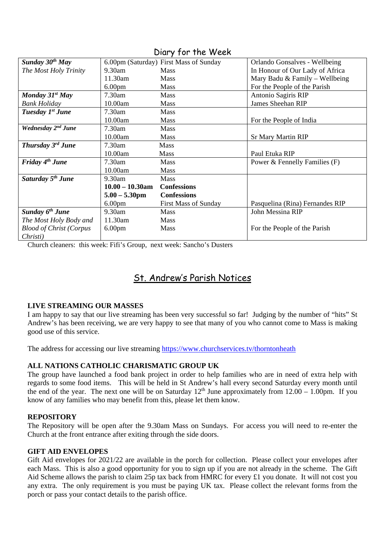| Sunday $30^{th}$ May                |                    | 6.00pm (Saturday) First Mass of Sunday | Orlando Gonsalves - Wellbeing    |
|-------------------------------------|--------------------|----------------------------------------|----------------------------------|
| The Most Holy Trinity               | $9.30$ am          | <b>Mass</b>                            | In Honour of Our Lady of Africa  |
|                                     | 11.30am            | <b>Mass</b>                            | Mary Badu & Family - Wellbeing   |
|                                     | 6.00 <sub>pm</sub> | <b>Mass</b>                            | For the People of the Parish     |
| Monday $31^{st}$ May                | $7.30$ am          | <b>Mass</b>                            | Antonio Sagiris RIP              |
| <b>Bank Holiday</b>                 | 10.00am            | Mass                                   | James Sheehan RIP                |
| Tuesday 1st June                    | $7.30$ am          | <b>Mass</b>                            |                                  |
|                                     | 10.00am            | <b>Mass</b>                            | For the People of India          |
| Wednesday 2 <sup>nd</sup> June      | 7.30am             | <b>Mass</b>                            |                                  |
|                                     | 10.00am            | Mass                                   | <b>Sr Mary Martin RIP</b>        |
| <b>Thursday 3<sup>rd</sup> June</b> | 7.30am             | <b>Mass</b>                            |                                  |
|                                     | 10.00am            | <b>Mass</b>                            | Paul Etuka RIP                   |
| Friday $4th$ June                   | 7.30am             | <b>Mass</b>                            | Power $\&$ Fennelly Families (F) |
|                                     | 10.00am            | <b>Mass</b>                            |                                  |
| Saturday 5 <sup>th</sup> June       | 9.30am             | <b>Mass</b>                            |                                  |
|                                     | $10.00 - 10.30$ am | <b>Confessions</b>                     |                                  |
|                                     | $5.00 - 5.30$ pm   | <b>Confessions</b>                     |                                  |
|                                     | 6.00 <sub>pm</sub> | <b>First Mass of Sunday</b>            | Pasquelina (Rina) Fernandes RIP  |
| Sunday 6 <sup>th</sup> June         | 9.30am             | <b>Mass</b>                            | John Messina RIP                 |
| The Most Holy Body and              | 11.30am            | <b>Mass</b>                            |                                  |
| <b>Blood of Christ (Corpus</b>      | 6.00 <sub>pm</sub> | <b>Mass</b>                            | For the People of the Parish     |
| Christi)                            |                    |                                        |                                  |

Diary for the Week

Church cleaners: this week: Fifi's Group, next week: Sancho's Dusters

# St. Andrew's Parish Notices

# **LIVE STREAMING OUR MASSES**

I am happy to say that our live streaming has been very successful so far! Judging by the number of "hits" St Andrew's has been receiving, we are very happy to see that many of you who cannot come to Mass is making good use of this service.

The address for accessing our live streaming<https://www.churchservices.tv/thorntonheath>

# **ALL NATIONS CATHOLIC CHARISMATIC GROUP UK**

The group have launched a food bank project in order to help families who are in need of extra help with regards to some food items. This will be held in St Andrew's hall every second Saturday every month until the end of the year. The next one will be on Saturday  $12<sup>th</sup>$  June approximately from  $12.00 - 1.00$ pm. If you know of any families who may benefit from this, please let them know.

# **REPOSITORY**

The Repository will be open after the 9.30am Mass on Sundays. For access you will need to re-enter the Church at the front entrance after exiting through the side doors.

# **GIFT AID ENVELOPES**

Gift Aid envelopes for 2021/22 are available in the porch for collection. Please collect your envelopes after each Mass. This is also a good opportunity for you to sign up if you are not already in the scheme. The Gift Aid Scheme allows the parish to claim 25p tax back from HMRC for every £1 you donate. It will not cost you any extra. The only requirement is you must be paying UK tax. Please collect the relevant forms from the porch or pass your contact details to the parish office.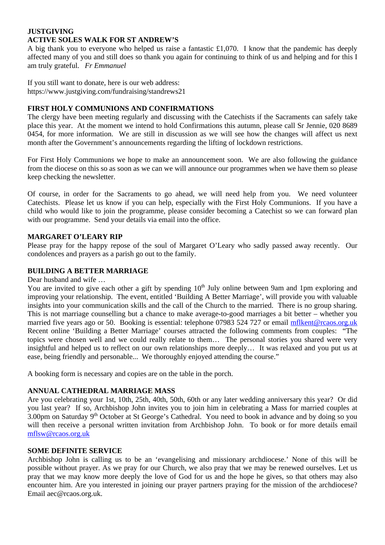# **JUSTGIVING ACTIVE SOLES WALK FOR ST ANDREW'S**

A big thank you to everyone who helped us raise a fantastic £1,070. I know that the pandemic has deeply affected many of you and still does so thank you again for continuing to think of us and helping and for this I am truly grateful. *Fr Emmanuel*

If you still want to donate, here is our web address: [https://www.justgiving.com/fundraising/standrews21](https://trk.justgiving.com/f/a/BPN4hBn8uqZ12HJVwwq_4w%7E%7E/AAME8QA%7E/RgRiG7JGP0TgaHR0cHM6Ly93d3cuanVzdGdpdmluZy5jb20vZnVuZHJhaXNpbmcvc3RhbmRyZXdzMjE_dXRtX2NhbXBhaWduPWxjX2ZycF9zaGFyZV90cmFuc2FjdGlvbl9mdW5kcmFpc2VyX3BhZ2VfbGF1bmNoZWQmdXRtX2NvbnRlbnQ9YjQ2NmIyMmYtMWUzOC00ODc5LWI1ZDgtZmZlZTkzNmE0OWViJnV0bV9tZWRpdW09ZW1haWwmdXRtX3NvdXJjZT1wb3N0b2ZmaWNlJnV0bV90ZXJtPTE2MTQzNTk4NzYzMDNXA3NwY0IKYDdGLTlg_BpsZFIadGhvcm50b25oZWF0aEByY2Fvcy5vcmcudWtYBAAAAAM%7E)

# **FIRST HOLY COMMUNIONS AND CONFIRMATIONS**

The clergy have been meeting regularly and discussing with the Catechists if the Sacraments can safely take place this year. At the moment we intend to hold Confirmations this autumn, please call Sr Jennie, 020 8689 0454, for more information. We are still in discussion as we will see how the changes will affect us next month after the Government's announcements regarding the lifting of lockdown restrictions.

For First Holy Communions we hope to make an announcement soon. We are also following the guidance from the diocese on this so as soon as we can we will announce our programmes when we have them so please keep checking the newsletter.

Of course, in order for the Sacraments to go ahead, we will need help from you. We need volunteer Catechists. Please let us know if you can help, especially with the First Holy Communions. If you have a child who would like to join the programme, please consider becoming a Catechist so we can forward plan with our programme. Send your details via email into the office.

# **MARGARET O'LEARY RIP**

Please pray for the happy repose of the soul of Margaret O'Leary who sadly passed away recently. Our condolences and prayers as a parish go out to the family.

# **BUILDING A BETTER MARRIAGE**

Dear husband and wife …

You are invited to give each other a gift by spending 10<sup>th</sup> July online between 9am and 1pm exploring and improving your relationship. The event, entitled 'Building A Better Marriage', will provide you with valuable insights into your communication skills and the call of the Church to the married. There is no group sharing. This is not marriage counselling but a chance to make average-to-good marriages a bit better – whether you married five years ago or 50. Booking is essential: telephone 07983 524 727 or email [mflkent@rcaos.org.uk](mailto:mflkent@rcaos.org.uk)  Recent online 'Building a Better Marriage' courses attracted the following comments from couples: "The topics were chosen well and we could really relate to them… The personal stories you shared were very insightful and helped us to reflect on our own relationships more deeply… It was relaxed and you put us at ease, being friendly and personable... We thoroughly enjoyed attending the course."

A booking form is necessary and copies are on the table in the porch.

# **ANNUAL CATHEDRAL MARRIAGE MASS**

Are you celebrating your 1st, 10th, 25th, 40th, 50th, 60th or any later wedding anniversary this year? Or did you last year? If so, Archbishop John invites you to join him in celebrating a Mass for married couples at 3.00pm on Saturday 9<sup>th</sup> October at St George's Cathedral. You need to book in advance and by doing so you will then receive a personal written invitation from Archbishop John. To book or for more details email [mflsw@rcaos.org.uk](mailto:mflsw@rcaos.org.uk)

# **SOME DEFINITE SERVICE**

Archbishop John is calling us to be an 'evangelising and missionary archdiocese.' None of this will be possible without prayer. As we pray for our Church, we also pray that we may be renewed ourselves. Let us pray that we may know more deeply the love of God for us and the hope he gives, so that others may also encounter him. Are you interested in joining our prayer partners praying for the mission of the archdiocese? Email aec@rcaos.org.uk.